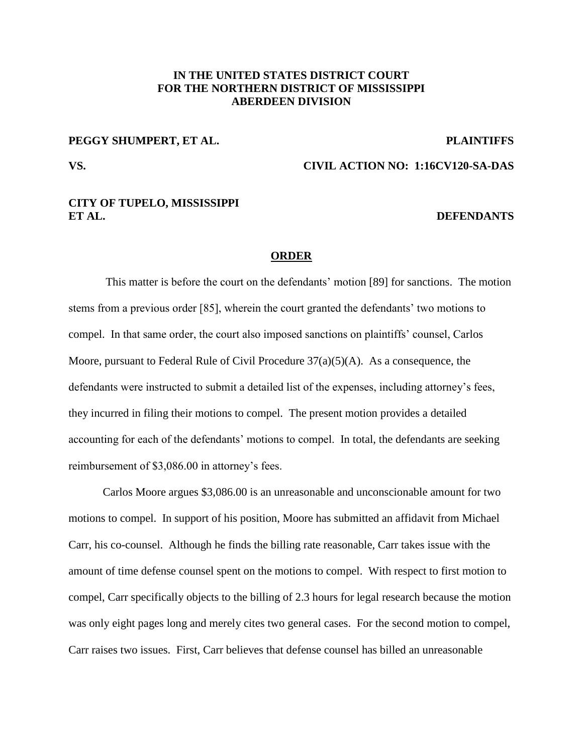# **IN THE UNITED STATES DISTRICT COURT FOR THE NORTHERN DISTRICT OF MISSISSIPPI ABERDEEN DIVISION**

#### **PEGGY SHUMPERT, ET AL. PLAINTIFFS**

## **VS. CIVIL ACTION NO: 1:16CV120-SA-DAS**

## **CITY OF TUPELO, MISSISSIPPI ET AL. DEFENDANTS**

### **ORDER**

This matter is before the court on the defendants' motion [89] for sanctions. The motion stems from a previous order [85], wherein the court granted the defendants' two motions to compel. In that same order, the court also imposed sanctions on plaintiffs' counsel, Carlos Moore, pursuant to Federal Rule of Civil Procedure 37(a)(5)(A). As a consequence, the defendants were instructed to submit a detailed list of the expenses, including attorney's fees, they incurred in filing their motions to compel. The present motion provides a detailed accounting for each of the defendants' motions to compel. In total, the defendants are seeking reimbursement of \$3,086.00 in attorney's fees.

Carlos Moore argues \$3,086.00 is an unreasonable and unconscionable amount for two motions to compel. In support of his position, Moore has submitted an affidavit from Michael Carr, his co-counsel. Although he finds the billing rate reasonable, Carr takes issue with the amount of time defense counsel spent on the motions to compel. With respect to first motion to compel, Carr specifically objects to the billing of 2.3 hours for legal research because the motion was only eight pages long and merely cites two general cases. For the second motion to compel, Carr raises two issues. First, Carr believes that defense counsel has billed an unreasonable